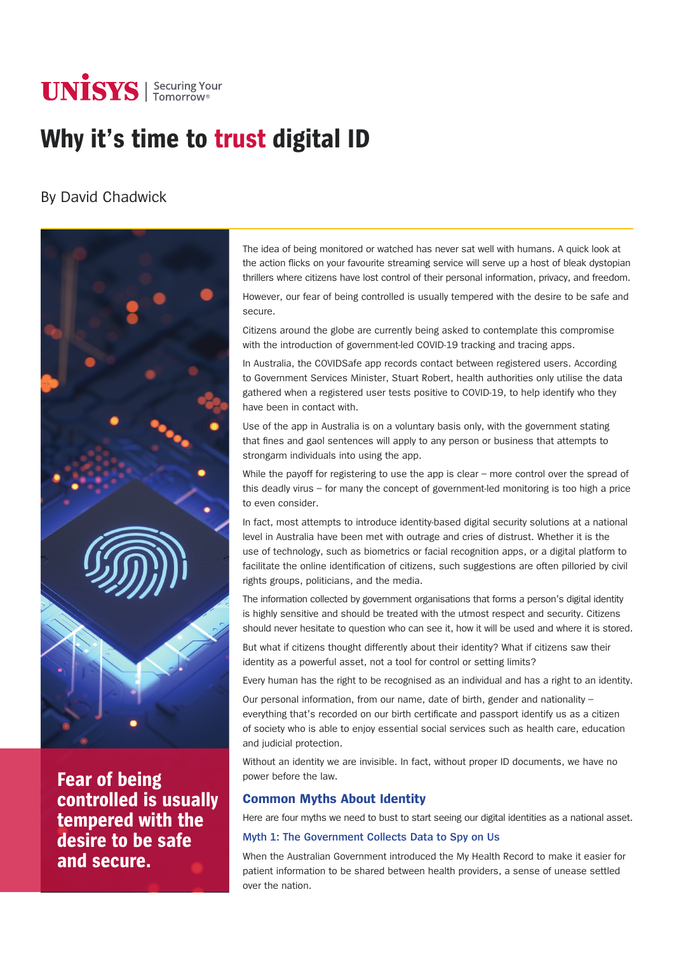# **UNISYS** Securing Your

# **Why it's time to trust digital ID**

# By David Chadwick



**Fear of being controlled is usually tempered with the desire to be safe and secure.**

The idea of being monitored or watched has never sat well with humans. A quick look at the action flicks on your favourite streaming service will serve up a host of bleak dystopian thrillers where citizens have lost control of their personal information, privacy, and freedom.

However, our fear of being controlled is usually tempered with the desire to be safe and secure.

Citizens around the globe are currently being asked to contemplate this compromise with the introduction of government-led COVID-19 tracking and tracing apps.

In Australia, the COVIDSafe app records contact between registered users. According to Government Services Minister, Stuart Robert, health authorities only utilise the data gathered when a registered user tests positive to COVID-19, to help identify who they have been in contact with.

Use of the app in Australia is on a voluntary basis only, with the government stating that fines and gaol sentences will apply to any person or business that attempts to strongarm individuals into using the app.

While the payoff for registering to use the app is clear - more control over the spread of this deadly virus – for many the concept of government-led monitoring is too high a price to even consider.

In fact, most attempts to introduce identity-based digital security solutions at a national level in Australia have been met with outrage and cries of distrust. Whether it is the use of technology, such as biometrics or facial recognition apps, or a digital platform to facilitate the online identification of citizens, such suggestions are often pilloried by civil rights groups, politicians, and the media.

The information collected by government organisations that forms a person's digital identity is highly sensitive and should be treated with the utmost respect and security. Citizens should never hesitate to question who can see it, how it will be used and where it is stored.

But what if citizens thought differently about their identity? What if citizens saw their identity as a powerful asset, not a tool for control or setting limits?

Every human has the right to be recognised as an individual and has a right to an identity.

Our personal information, from our name, date of birth, gender and nationality – everything that's recorded on our birth certificate and passport identify us as a citizen of society who is able to enjoy essential social services such as health care, education and judicial protection.

Without an identity we are invisible. In fact, without proper ID documents, we have no power before the law.

## **Common Myths About Identity**

Here are four myths we need to bust to start seeing our digital identities as a national asset.

### **Myth 1: The Government Collects Data to Spy on Us**

When the Australian Government introduced the My Health Record to make it easier for patient information to be shared between health providers, a sense of unease settled over the nation.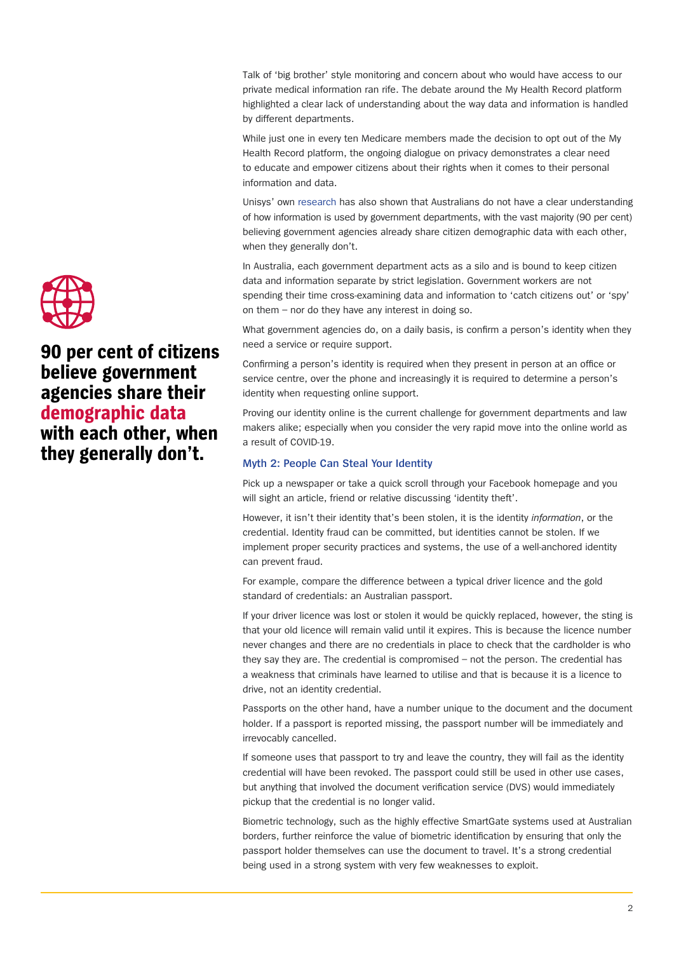Talk of 'big brother' style monitoring and concern about who would have access to our private medical information ran rife. The debate around the My Health Record platform highlighted a clear lack of understanding about the way data and information is handled by different departments.

While just one in every ten Medicare members made the decision to opt out of the My Health Record platform, the ongoing dialogue on privacy demonstrates a clear need to educate and empower citizens about their rights when it comes to their personal information and data.

Unisys' own [research](https://www.app5.unisys.com/library/cmsmail/Connected Government/2018 Unisys Connected Government Report.pdf) has also shown that Australians do not have a clear understanding of how information is used by government departments, with the vast majority (90 per cent) believing government agencies already share citizen demographic data with each other, when they generally don't.

In Australia, each government department acts as a silo and is bound to keep citizen data and information separate by strict legislation. Government workers are not spending their time cross-examining data and information to 'catch citizens out' or 'spy' on them – nor do they have any interest in doing so.

What government agencies do, on a daily basis, is confirm a person's identity when they need a service or require support.

Confirming a person's identity is required when they present in person at an office or service centre, over the phone and increasingly it is required to determine a person's identity when requesting online support.

Proving our identity online is the current challenge for government departments and law makers alike; especially when you consider the very rapid move into the online world as a result of COVID-19.

#### **Myth 2: People Can Steal Your Identity**

Pick up a newspaper or take a quick scroll through your Facebook homepage and you will sight an article, friend or relative discussing 'identity theft'.

However, it isn't their identity that's been stolen, it is the identity *information*, or the credential. Identity fraud can be committed, but identities cannot be stolen. If we implement proper security practices and systems, the use of a well-anchored identity can prevent fraud.

For example, compare the difference between a typical driver licence and the gold standard of credentials: an Australian passport.

If your driver licence was lost or stolen it would be quickly replaced, however, the sting is that your old licence will remain valid until it expires. This is because the licence number never changes and there are no credentials in place to check that the cardholder is who they say they are. The credential is compromised – not the person. The credential has a weakness that criminals have learned to utilise and that is because it is a licence to drive, not an identity credential.

Passports on the other hand, have a number unique to the document and the document holder. If a passport is reported missing, the passport number will be immediately and irrevocably cancelled.

If someone uses that passport to try and leave the country, they will fail as the identity credential will have been revoked. The passport could still be used in other use cases, but anything that involved the document verification service (DVS) would immediately pickup that the credential is no longer valid.

Biometric technology, such as the highly effective SmartGate systems used at Australian borders, further reinforce the value of biometric identification by ensuring that only the passport holder themselves can use the document to travel. It's a strong credential being used in a strong system with very few weaknesses to exploit.



**90 per cent of citizens believe government agencies share their demographic data with each other, when they generally don't.**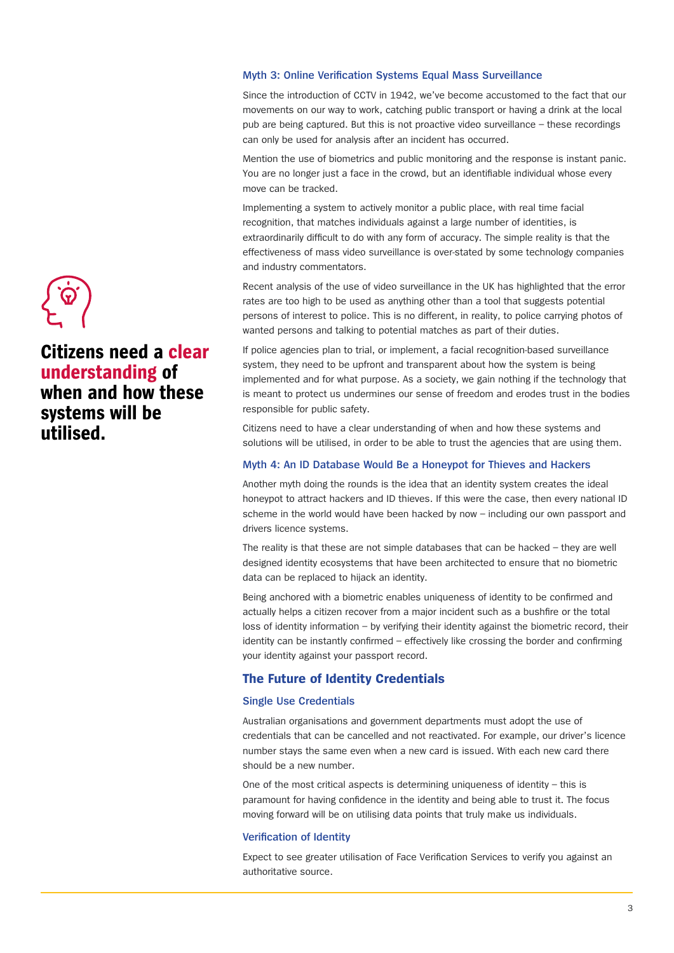#### **Myth 3: Online Verification Systems Equal Mass Surveillance**

Since the introduction of CCTV in 1942, we've become accustomed to the fact that our movements on our way to work, catching public transport or having a drink at the local pub are being captured. But this is not proactive video surveillance – these recordings can only be used for analysis after an incident has occurred.

Mention the use of biometrics and public monitoring and the response is instant panic. You are no longer just a face in the crowd, but an identifiable individual whose every move can be tracked.

Implementing a system to actively monitor a public place, with real time facial recognition, that matches individuals against a large number of identities, is extraordinarily difficult to do with any form of accuracy. The simple reality is that the effectiveness of mass video surveillance is over-stated by some technology companies and industry commentators.

Recent analysis of the use of video surveillance in the UK has highlighted that the error rates are too high to be used as anything other than a tool that suggests potential persons of interest to police. This is no different, in reality, to police carrying photos of wanted persons and talking to potential matches as part of their duties.

If police agencies plan to trial, or implement, a facial recognition-based surveillance system, they need to be upfront and transparent about how the system is being implemented and for what purpose. As a society, we gain nothing if the technology that is meant to protect us undermines our sense of freedom and erodes trust in the bodies responsible for public safety.

Citizens need to have a clear understanding of when and how these systems and solutions will be utilised, in order to be able to trust the agencies that are using them.

#### **Myth 4: An ID Database Would Be a Honeypot for Thieves and Hackers**

Another myth doing the rounds is the idea that an identity system creates the ideal honeypot to attract hackers and ID thieves. If this were the case, then every national ID scheme in the world would have been hacked by now – including our own passport and drivers licence systems.

The reality is that these are not simple databases that can be hacked – they are well designed identity ecosystems that have been architected to ensure that no biometric data can be replaced to hijack an identity.

Being anchored with a biometric enables uniqueness of identity to be confirmed and actually helps a citizen recover from a major incident such as a bushfire or the total loss of identity information – by verifying their identity against the biometric record, their identity can be instantly confirmed – effectively like crossing the border and confirming your identity against your passport record.

#### **The Future of Identity Credentials**

#### **Single Use Credentials**

Australian organisations and government departments must adopt the use of credentials that can be cancelled and not reactivated. For example, our driver's licence number stays the same even when a new card is issued. With each new card there should be a new number.

One of the most critical aspects is determining uniqueness of identity – this is paramount for having confidence in the identity and being able to trust it. The focus moving forward will be on utilising data points that truly make us individuals.

#### **Verification of Identity**

Expect to see greater utilisation of Face Verification Services to verify you against an authoritative source.



# **Citizens need a clear understanding of when and how these systems will be utilised.**